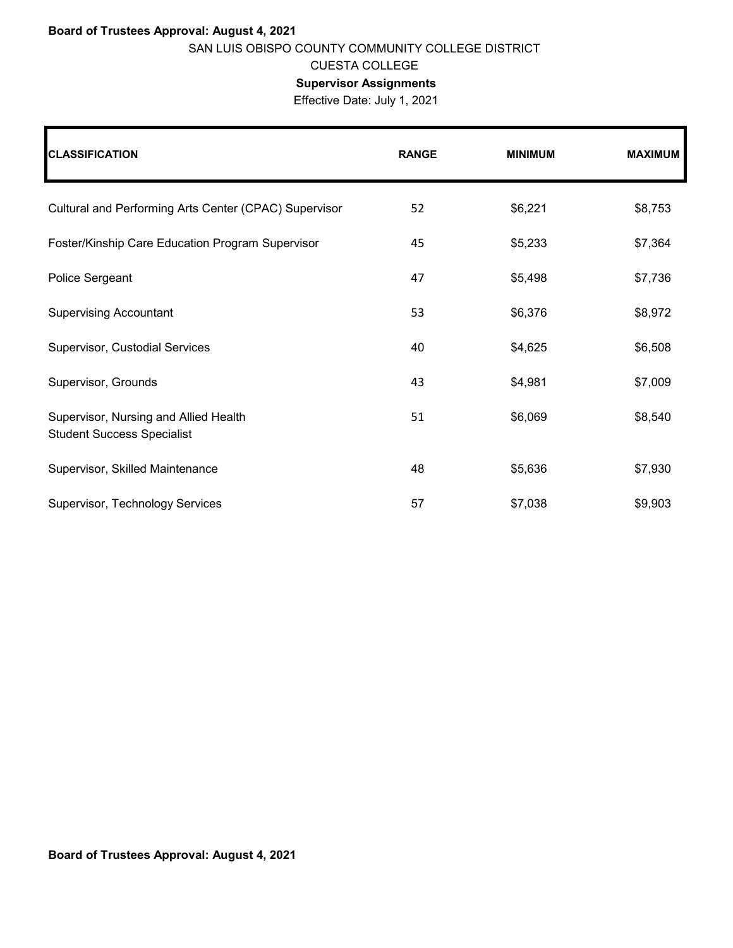## **Board of Trustees Approval: August 4, 2021** SAN LUIS OBISPO COUNTY COMMUNITY COLLEGE DISTRICT CUESTA COLLEGE

## **Supervisor Assignments**

Effective Date: July 1, 2021

| <b>CLASSIFICATION</b>                                                      | <b>RANGE</b> | <b>MINIMUM</b> | <b>MAXIMUM</b> |
|----------------------------------------------------------------------------|--------------|----------------|----------------|
| Cultural and Performing Arts Center (CPAC) Supervisor                      | 52           | \$6,221        | \$8,753        |
| Foster/Kinship Care Education Program Supervisor                           | 45           | \$5,233        | \$7,364        |
| Police Sergeant                                                            | 47           | \$5,498        | \$7,736        |
| <b>Supervising Accountant</b>                                              | 53           | \$6,376        | \$8,972        |
| Supervisor, Custodial Services                                             | 40           | \$4,625        | \$6,508        |
| Supervisor, Grounds                                                        | 43           | \$4,981        | \$7,009        |
| Supervisor, Nursing and Allied Health<br><b>Student Success Specialist</b> | 51           | \$6,069        | \$8,540        |
| Supervisor, Skilled Maintenance                                            | 48           | \$5,636        | \$7,930        |
| Supervisor, Technology Services                                            | 57           | \$7,038        | \$9,903        |